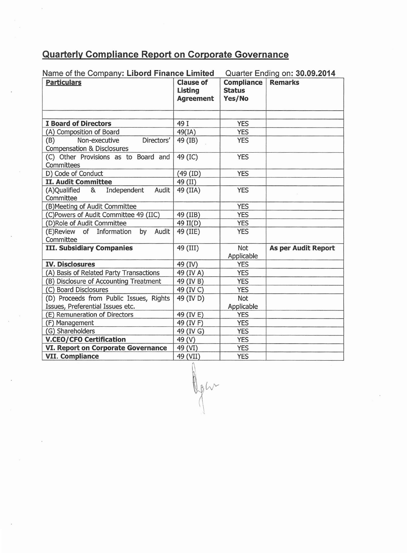## **Quarterly Compliance Report on Corporate Governance**

| Name of the Company: Libord Finance Limited                                 |                                                        | Quarter Ending on: 30.09.2014                |                            |
|-----------------------------------------------------------------------------|--------------------------------------------------------|----------------------------------------------|----------------------------|
| <b>Particulars</b>                                                          | <b>Clause of</b><br><b>Listing</b><br><b>Agreement</b> | <b>Compliance</b><br><b>Status</b><br>Yes/No | <b>Remarks</b>             |
|                                                                             |                                                        |                                              |                            |
| <b>I Board of Directors</b>                                                 | 49 I                                                   | <b>YES</b>                                   |                            |
| (A) Composition of Board                                                    | 49(IA)                                                 | <b>YES</b>                                   |                            |
| Non-executive<br>(B)<br>Directors'<br><b>Compensation &amp; Disclosures</b> | 49 (IB)                                                | <b>YES</b>                                   |                            |
| (C) Other Provisions as to Board and<br>Committees                          | 49 (IC)                                                | <b>YES</b>                                   |                            |
| D) Code of Conduct                                                          | $(49$ (ID)                                             | <b>YES</b>                                   |                            |
| <b>II. Audit Committee</b>                                                  | 49 (II)                                                |                                              |                            |
| Independent<br>(A)Qualified &<br>Audit<br>Committee                         | 49 (IIA)                                               | <b>YES</b>                                   |                            |
| (B)Meeting of Audit Committee                                               |                                                        | <b>YES</b>                                   |                            |
| (C)Powers of Audit Committee 49 (IIC)                                       | 49 (IIB)                                               | <b>YES</b>                                   |                            |
| (D)Role of Audit Committee                                                  | 49 II(D)                                               | <b>YES</b>                                   |                            |
| Information<br>Audit<br>(E)Review of<br>by<br>Committee                     | 49 (IIE)                                               | <b>YES</b>                                   |                            |
| <b>III. Subsidiary Companies</b>                                            | 49 (III)                                               | Not<br>Applicable                            | <b>As per Audit Report</b> |
| <b>IV. Disclosures</b>                                                      | 49 (IV)                                                | <b>YES</b>                                   |                            |
| (A) Basis of Related Party Transactions                                     | 49 (IV A)                                              | <b>YES</b>                                   |                            |
| (B) Disclosure of Accounting Treatment                                      | 49 (IV B)                                              | <b>YES</b>                                   |                            |
| (C) Board Disclosures                                                       | 49 (IV C)                                              | <b>YES</b>                                   |                            |
| (D) Proceeds from Public Issues, Rights                                     | 49 (IV D)                                              | Not                                          |                            |
| Issues, Preferential Issues etc.                                            |                                                        | Applicable                                   |                            |
| (E) Remuneration of Directors                                               | 49 (IV E)                                              | <b>YES</b>                                   |                            |
| (F) Management                                                              | 49 (IV F)                                              | <b>YES</b>                                   |                            |
| (G) Shareholders                                                            | 49 (IV G)                                              | <b>YES</b>                                   |                            |
| <b>V.CEO/CFO Certification</b>                                              | 49 (V)                                                 | <b>YES</b>                                   |                            |
| <b>VI. Report on Corporate Governance</b>                                   | 49 (VI)                                                | <b>YES</b>                                   |                            |
| <b>VII. Compliance</b>                                                      | 49 (VII)                                               | <b>YES</b>                                   |                            |

Oph

Name of the Company: **Libord Finance Limited** Quarter Ending on: **30.09.2014**